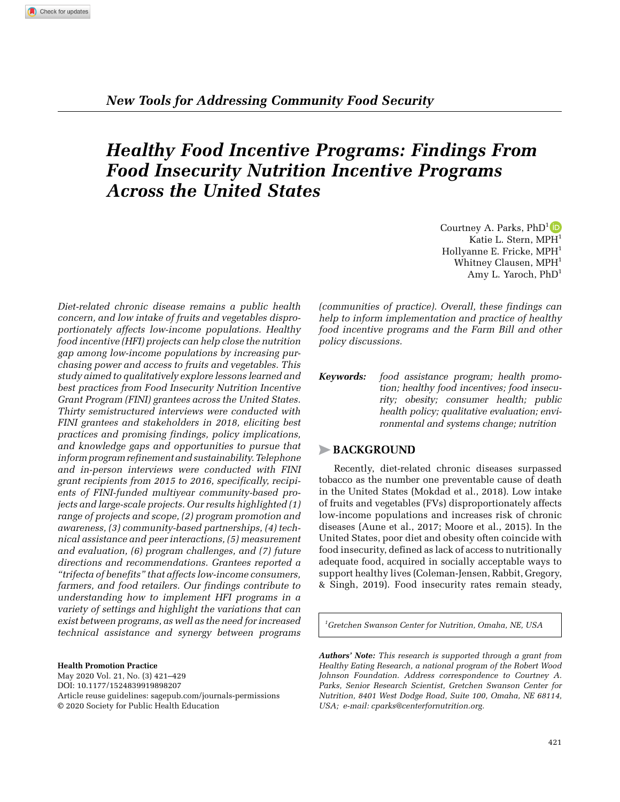# *Healthy Food Incentive Programs: Findings From Food Insecurity Nutrition Incentive Programs Across the United States*

*Diet-related chronic disease remains a public health concern, and low intake of fruits and vegetables disproportionately affects low-income populations. Healthy food incentive (HFI) projects can help close the nutrition gap among low-income populations by increasing purchasing power and access to fruits and vegetables. This study aimed to qualitatively explore lessons learned and best practices from Food Insecurity Nutrition Incentive Grant Program (FINI) grantees across the United States. Thirty semistructured interviews were conducted with FINI grantees and stakeholders in 2018, eliciting best practices and promising findings, policy implications, and knowledge gaps and opportunities to pursue that inform program refinement and sustainability. Telephone and in-person interviews were conducted with FINI grant recipients from 2015 to 2016, specifically, recipients of FINI-funded multiyear community-based projects and large-scale projects. Our results highlighted (1) range of projects and scope, (2) program promotion and awareness, (3) community-based partnerships, (4) technical assistance and peer interactions, (5) measurement and evaluation, (6) program challenges, and (7) future directions and recommendations. Grantees reported a "trifecta of benefits" that affects low-income consumers, farmers, and food retailers. Our findings contribute to understanding how to implement HFI programs in a variety of settings and highlight the variations that can exist between programs, as well as the need for increased technical assistance and synergy between programs* 

**Health Promotion Practice** May 2020 Vol. 21, No. (3) 421–429 DOI: 10.1177/1524839919898207

Article reuse guidelines: sagepub.com/journals-permissions © 2020 Society for Public Health Education

Courtney A. Parks,  $PhD^1$  D Katie L. Stern, MPH<sup>1</sup> Hollyanne E. Fricke, MPH<sup>1</sup> Whitney Clausen, MPH<sup>1</sup> Amy L. Yaroch,  $PhD<sup>1</sup>$ 

*(communities of practice). Overall, these findings can help to inform implementation and practice of healthy food incentive programs and the Farm Bill and other policy discussions.*

*Keywords: food assistance program; health promotion; healthy food incentives; food insecurity; obesity; consumer health; public health policy; qualitative evaluation; environmental and systems change; nutrition*

# >**Background**

Recently, diet-related chronic diseases surpassed tobacco as the number one preventable cause of death in the United States (Mokdad et al., 2018). Low intake of fruits and vegetables (FVs) disproportionately affects low-income populations and increases risk of chronic diseases (Aune et al., 2017; Moore et al., 2015). In the United States, poor diet and obesity often coincide with food insecurity, defined as lack of access to nutritionally adequate food, acquired in socially acceptable ways to support healthy lives (Coleman-Jensen, Rabbit, Gregory, & Singh, 2019). Food insecurity rates remain steady,

*1 Gretchen Swanson Center for Nutrition, Omaha, NE, USA*

*Authors' Note: This research is supported through a grant from Healthy Eating Research, a national program of the Robert Wood Johnson Foundation. Address correspondence to Courtney A. Parks, Senior Research Scientist, Gretchen Swanson Center for Nutrition, 8401 West Dodge Road, Suite 100, Omaha, NE 68114, USA; e-mail: cparks@centerfornutrition.org.*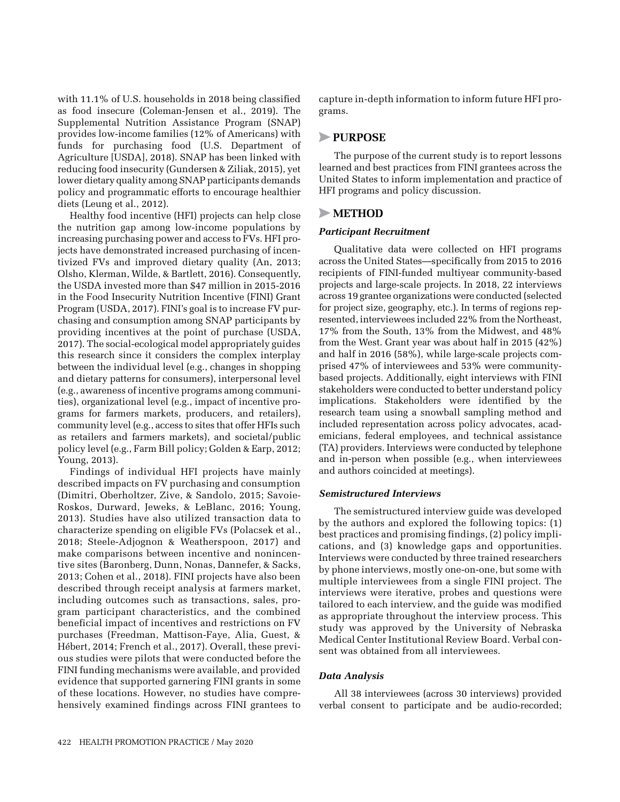with 11.1% of U.S. households in 2018 being classified as food insecure (Coleman-Jensen et al., 2019). The Supplemental Nutrition Assistance Program (SNAP) provides low-income families (12% of Americans) with funds for purchasing food (U.S. Department of Agriculture [USDA], 2018). SNAP has been linked with reducing food insecurity (Gundersen & Ziliak, 2015), yet lower dietary quality among SNAP participants demands policy and programmatic efforts to encourage healthier diets (Leung et al., 2012).

Healthy food incentive (HFI) projects can help close the nutrition gap among low-income populations by increasing purchasing power and access to FVs. HFI projects have demonstrated increased purchasing of incentivized FVs and improved dietary quality (An, 2013; Olsho, Klerman, Wilde, & Bartlett, 2016). Consequently, the USDA invested more than \$47 million in 2015-2016 in the Food Insecurity Nutrition Incentive (FINI) Grant Program (USDA, 2017). FINI's goal is to increase FV purchasing and consumption among SNAP participants by providing incentives at the point of purchase (USDA, 2017). The social-ecological model appropriately guides this research since it considers the complex interplay between the individual level (e.g., changes in shopping and dietary patterns for consumers), interpersonal level (e.g., awareness of incentive programs among communities), organizational level (e.g., impact of incentive programs for farmers markets, producers, and retailers), community level (e.g., access to sites that offer HFIs such as retailers and farmers markets), and societal/public policy level (e.g., Farm Bill policy; Golden & Earp, 2012; Young, 2013).

Findings of individual HFI projects have mainly described impacts on FV purchasing and consumption (Dimitri, Oberholtzer, Zive, & Sandolo, 2015; Savoie-Roskos, Durward, Jeweks, & LeBlanc, 2016; Young, 2013). Studies have also utilized transaction data to characterize spending on eligible FVs (Polacsek et al., 2018; Steele-Adjognon & Weatherspoon, 2017) and make comparisons between incentive and nonincentive sites (Baronberg, Dunn, Nonas, Dannefer, & Sacks, 2013; Cohen et al., 2018). FINI projects have also been described through receipt analysis at farmers market, including outcomes such as transactions, sales, program participant characteristics, and the combined beneficial impact of incentives and restrictions on FV purchases (Freedman, Mattison-Faye, Alia, Guest, & Hébert, 2014; French et al., 2017). Overall, these previous studies were pilots that were conducted before the FINI funding mechanisms were available, and provided evidence that supported garnering FINI grants in some of these locations. However, no studies have comprehensively examined findings across FINI grantees to capture in-depth information to inform future HFI programs.

# >**Purpose**

The purpose of the current study is to report lessons learned and best practices from FINI grantees across the United States to inform implementation and practice of HFI programs and policy discussion.

# >**Method**

#### *Participant Recruitment*

Qualitative data were collected on HFI programs across the United States—specifically from 2015 to 2016 recipients of FINI-funded multiyear community-based projects and large-scale projects. In 2018, 22 interviews across 19 grantee organizations were conducted (selected for project size, geography, etc.). In terms of regions represented, interviewees included 22% from the Northeast, 17% from the South, 13% from the Midwest, and 48% from the West. Grant year was about half in 2015 (42%) and half in 2016 (58%), while large-scale projects comprised 47% of interviewees and 53% were communitybased projects. Additionally, eight interviews with FINI stakeholders were conducted to better understand policy implications. Stakeholders were identified by the research team using a snowball sampling method and included representation across policy advocates, academicians, federal employees, and technical assistance (TA) providers. Interviews were conducted by telephone and in-person when possible (e.g., when interviewees and authors coincided at meetings).

#### *Semistructured Interviews*

The semistructured interview guide was developed by the authors and explored the following topics: (1) best practices and promising findings, (2) policy implications, and (3) knowledge gaps and opportunities. Interviews were conducted by three trained researchers by phone interviews, mostly one-on-one, but some with multiple interviewees from a single FINI project. The interviews were iterative, probes and questions were tailored to each interview, and the guide was modified as appropriate throughout the interview process. This study was approved by the University of Nebraska Medical Center Institutional Review Board. Verbal consent was obtained from all interviewees.

#### *Data Analysis*

All 38 interviewees (across 30 interviews) provided verbal consent to participate and be audio-recorded;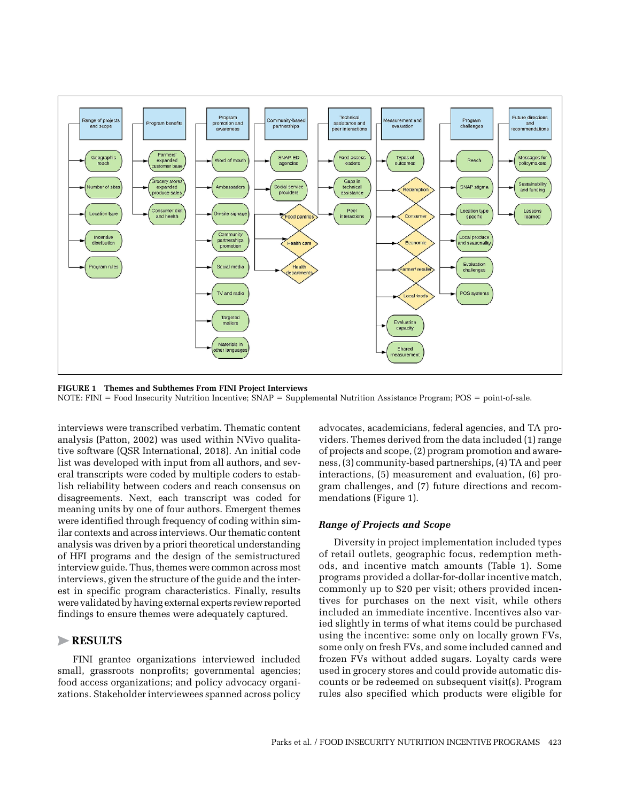

**Figure 1 Themes and Subthemes From FINI Project Interviews** NOTE: FINI = Food Insecurity Nutrition Incentive; SNAP = Supplemental Nutrition Assistance Program; POS = point-of-sale.

interviews were transcribed verbatim. Thematic content analysis (Patton, 2002) was used within NVivo qualitative software (QSR International, 2018). An initial code list was developed with input from all authors, and several transcripts were coded by multiple coders to establish reliability between coders and reach consensus on disagreements. Next, each transcript was coded for meaning units by one of four authors. Emergent themes were identified through frequency of coding within similar contexts and across interviews. Our thematic content analysis was driven by a priori theoretical understanding of HFI programs and the design of the semistructured interview guide. Thus, themes were common across most interviews, given the structure of the guide and the interest in specific program characteristics. Finally, results were validated by having external experts review reported findings to ensure themes were adequately captured.

# >**Results**

FINI grantee organizations interviewed included small, grassroots nonprofits; governmental agencies; food access organizations; and policy advocacy organizations. Stakeholder interviewees spanned across policy advocates, academicians, federal agencies, and TA providers. Themes derived from the data included (1) range of projects and scope, (2) program promotion and awareness, (3) community-based partnerships, (4) TA and peer interactions, (5) measurement and evaluation, (6) program challenges, and (7) future directions and recommendations (Figure 1).

#### *Range of Projects and Scope*

Diversity in project implementation included types of retail outlets, geographic focus, redemption methods, and incentive match amounts (Table 1). Some programs provided a dollar-for-dollar incentive match, commonly up to \$20 per visit; others provided incentives for purchases on the next visit, while others included an immediate incentive. Incentives also varied slightly in terms of what items could be purchased using the incentive: some only on locally grown FVs, some only on fresh FVs, and some included canned and frozen FVs without added sugars. Loyalty cards were used in grocery stores and could provide automatic discounts or be redeemed on subsequent visit(s). Program rules also specified which products were eligible for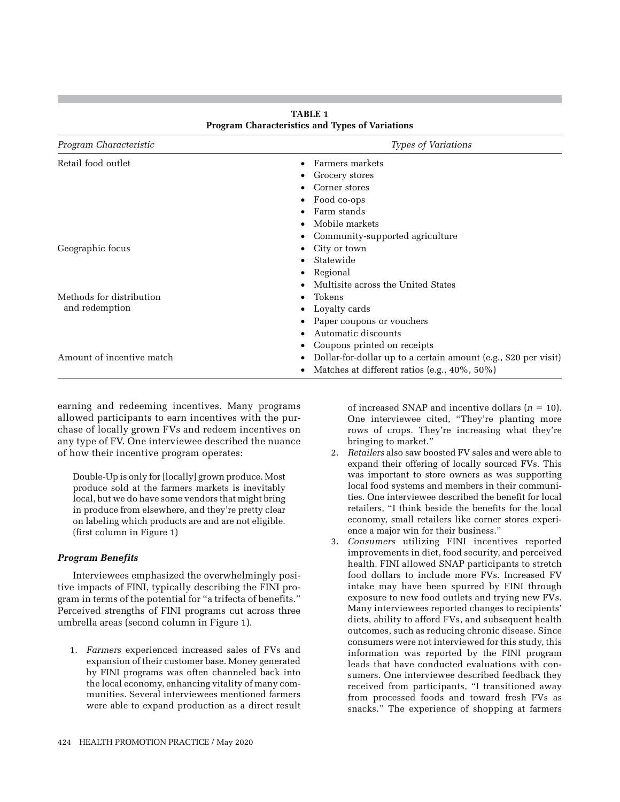| Program Characteristic    | Types of Variations                                                  |
|---------------------------|----------------------------------------------------------------------|
| Retail food outlet        | Farmers markets<br>$\bullet$                                         |
|                           | Grocery stores<br>٠                                                  |
|                           | Corner stores                                                        |
|                           | Food co-ops                                                          |
|                           | Farm stands                                                          |
|                           | Mobile markets<br>$\bullet$                                          |
|                           | Community-supported agriculture<br>٠                                 |
| Geographic focus          | City or town<br>٠                                                    |
|                           | Statewide<br>٠                                                       |
|                           | Regional<br>٠                                                        |
|                           | Multisite across the United States<br>٠                              |
| Methods for distribution  | Tokens<br>٠                                                          |
| and redemption            | Loyalty cards                                                        |
|                           | Paper coupons or vouchers                                            |
|                           | Automatic discounts                                                  |
|                           | Coupons printed on receipts                                          |
| Amount of incentive match | Dollar-for-dollar up to a certain amount (e.g., \$20 per visit)<br>٠ |
|                           | Matches at different ratios (e.g., 40%, 50%)<br>٠                    |

**Table 1 Program Characteristics and Types of Variations**

earning and redeeming incentives. Many programs allowed participants to earn incentives with the purchase of locally grown FVs and redeem incentives on any type of FV. One interviewee described the nuance of how their incentive program operates:

Double-Up is only for [locally] grown produce. Most produce sold at the farmers markets is inevitably local, but we do have some vendors that might bring in produce from elsewhere, and they're pretty clear on labeling which products are and are not eligible. (first column in Figure 1)

# *Program Benefits*

Interviewees emphasized the overwhelmingly positive impacts of FINI, typically describing the FINI program in terms of the potential for "a trifecta of benefits." Perceived strengths of FINI programs cut across three umbrella areas (second column in Figure 1).

1. *Farmers* experienced increased sales of FVs and expansion of their customer base. Money generated by FINI programs was often channeled back into the local economy, enhancing vitality of many communities. Several interviewees mentioned farmers were able to expand production as a direct result of increased SNAP and incentive dollars  $(n = 10)$ . One interviewee cited, "They're planting more rows of crops. They're increasing what they're bringing to market."

- 2. *Retailers* also saw boosted FV sales and were able to expand their offering of locally sourced FVs. This was important to store owners as was supporting local food systems and members in their communities. One interviewee described the benefit for local retailers, "I think beside the benefits for the local economy, small retailers like corner stores experience a major win for their business."
- 3. *Consumers* utilizing FINI incentives reported improvements in diet, food security, and perceived health. FINI allowed SNAP participants to stretch food dollars to include more FVs. Increased FV intake may have been spurred by FINI through exposure to new food outlets and trying new FVs. Many interviewees reported changes to recipients' diets, ability to afford FVs, and subsequent health outcomes, such as reducing chronic disease. Since consumers were not interviewed for this study, this information was reported by the FINI program leads that have conducted evaluations with consumers. One interviewee described feedback they received from participants, "I transitioned away from processed foods and toward fresh FVs as snacks." The experience of shopping at farmers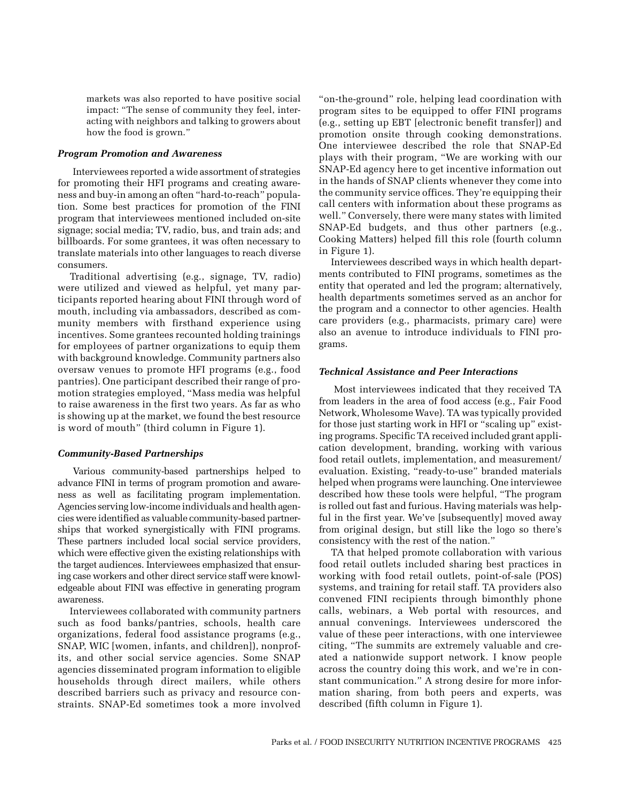markets was also reported to have positive social impact: "The sense of community they feel, interacting with neighbors and talking to growers about how the food is grown."

#### *Program Promotion and Awareness*

Interviewees reported a wide assortment of strategies for promoting their HFI programs and creating awareness and buy-in among an often "hard-to-reach" population. Some best practices for promotion of the FINI program that interviewees mentioned included on-site signage; social media; TV, radio, bus, and train ads; and billboards. For some grantees, it was often necessary to translate materials into other languages to reach diverse consumers.

Traditional advertising (e.g., signage, TV, radio) were utilized and viewed as helpful, yet many participants reported hearing about FINI through word of mouth, including via ambassadors, described as community members with firsthand experience using incentives. Some grantees recounted holding trainings for employees of partner organizations to equip them with background knowledge. Community partners also oversaw venues to promote HFI programs (e.g., food pantries). One participant described their range of promotion strategies employed, "Mass media was helpful to raise awareness in the first two years. As far as who is showing up at the market, we found the best resource is word of mouth" (third column in Figure 1).

# *Community-Based Partnerships*

Various community-based partnerships helped to advance FINI in terms of program promotion and awareness as well as facilitating program implementation. Agencies serving low-income individuals and health agencies were identified as valuable community-based partnerships that worked synergistically with FINI programs. These partners included local social service providers, which were effective given the existing relationships with the target audiences. Interviewees emphasized that ensuring case workers and other direct service staff were knowledgeable about FINI was effective in generating program awareness.

Interviewees collaborated with community partners such as food banks/pantries, schools, health care organizations, federal food assistance programs (e.g., SNAP, WIC [women, infants, and children]), nonprofits, and other social service agencies. Some SNAP agencies disseminated program information to eligible households through direct mailers, while others described barriers such as privacy and resource constraints. SNAP-Ed sometimes took a more involved

"on-the-ground" role, helping lead coordination with program sites to be equipped to offer FINI programs (e.g., setting up EBT [electronic benefit transfer]) and promotion onsite through cooking demonstrations. One interviewee described the role that SNAP-Ed plays with their program, "We are working with our SNAP-Ed agency here to get incentive information out in the hands of SNAP clients whenever they come into the community service offices. They're equipping their call centers with information about these programs as well." Conversely, there were many states with limited SNAP-Ed budgets, and thus other partners (e.g., Cooking Matters) helped fill this role (fourth column in Figure 1).

Interviewees described ways in which health departments contributed to FINI programs, sometimes as the entity that operated and led the program; alternatively, health departments sometimes served as an anchor for the program and a connector to other agencies. Health care providers (e.g., pharmacists, primary care) were also an avenue to introduce individuals to FINI programs.

#### *Technical Assistance and Peer Interactions*

Most interviewees indicated that they received TA from leaders in the area of food access (e.g., Fair Food Network, Wholesome Wave). TA was typically provided for those just starting work in HFI or "scaling up" existing programs. Specific TA received included grant application development, branding, working with various food retail outlets, implementation, and measurement/ evaluation. Existing, "ready-to-use" branded materials helped when programs were launching. One interviewee described how these tools were helpful, "The program is rolled out fast and furious. Having materials was helpful in the first year. We've [subsequently] moved away from original design, but still like the logo so there's consistency with the rest of the nation."

TA that helped promote collaboration with various food retail outlets included sharing best practices in working with food retail outlets, point-of-sale (POS) systems, and training for retail staff. TA providers also convened FINI recipients through bimonthly phone calls, webinars, a Web portal with resources, and annual convenings. Interviewees underscored the value of these peer interactions, with one interviewee citing, "The summits are extremely valuable and created a nationwide support network. I know people across the country doing this work, and we're in constant communication." A strong desire for more information sharing, from both peers and experts, was described (fifth column in Figure 1).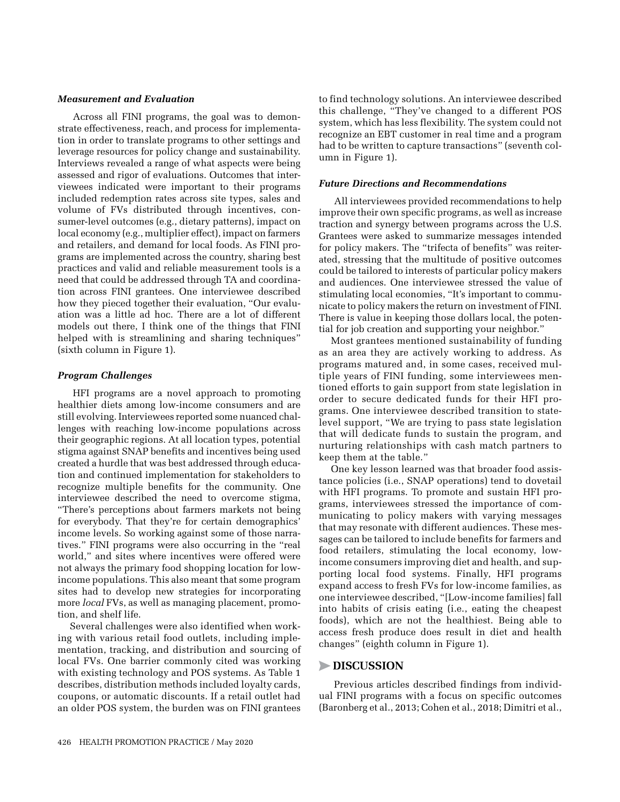#### *Measurement and Evaluation*

Across all FINI programs, the goal was to demonstrate effectiveness, reach, and process for implementation in order to translate programs to other settings and leverage resources for policy change and sustainability. Interviews revealed a range of what aspects were being assessed and rigor of evaluations. Outcomes that interviewees indicated were important to their programs included redemption rates across site types, sales and volume of FVs distributed through incentives, consumer-level outcomes (e.g., dietary patterns), impact on local economy (e.g., multiplier effect), impact on farmers and retailers, and demand for local foods. As FINI programs are implemented across the country, sharing best practices and valid and reliable measurement tools is a need that could be addressed through TA and coordination across FINI grantees. One interviewee described how they pieced together their evaluation, "Our evaluation was a little ad hoc. There are a lot of different models out there, I think one of the things that FINI helped with is streamlining and sharing techniques" (sixth column in Figure 1).

#### *Program Challenges*

HFI programs are a novel approach to promoting healthier diets among low-income consumers and are still evolving. Interviewees reported some nuanced challenges with reaching low-income populations across their geographic regions. At all location types, potential stigma against SNAP benefits and incentives being used created a hurdle that was best addressed through education and continued implementation for stakeholders to recognize multiple benefits for the community. One interviewee described the need to overcome stigma, "There's perceptions about farmers markets not being for everybody. That they're for certain demographics' income levels. So working against some of those narratives." FINI programs were also occurring in the "real world," and sites where incentives were offered were not always the primary food shopping location for lowincome populations. This also meant that some program sites had to develop new strategies for incorporating more *local* FVs, as well as managing placement, promotion, and shelf life.

Several challenges were also identified when working with various retail food outlets, including implementation, tracking, and distribution and sourcing of local FVs. One barrier commonly cited was working with existing technology and POS systems. As Table 1 describes, distribution methods included loyalty cards, coupons, or automatic discounts. If a retail outlet had an older POS system, the burden was on FINI grantees

to find technology solutions. An interviewee described this challenge, "They've changed to a different POS system, which has less flexibility. The system could not recognize an EBT customer in real time and a program had to be written to capture transactions" (seventh column in Figure 1).

## *Future Directions and Recommendations*

All interviewees provided recommendations to help improve their own specific programs, as well as increase traction and synergy between programs across the U.S. Grantees were asked to summarize messages intended for policy makers. The "trifecta of benefits" was reiterated, stressing that the multitude of positive outcomes could be tailored to interests of particular policy makers and audiences. One interviewee stressed the value of stimulating local economies, "It's important to communicate to policy makers the return on investment of FINI. There is value in keeping those dollars local, the potential for job creation and supporting your neighbor."

Most grantees mentioned sustainability of funding as an area they are actively working to address. As programs matured and, in some cases, received multiple years of FINI funding, some interviewees mentioned efforts to gain support from state legislation in order to secure dedicated funds for their HFI programs. One interviewee described transition to statelevel support, "We are trying to pass state legislation that will dedicate funds to sustain the program, and nurturing relationships with cash match partners to keep them at the table."

One key lesson learned was that broader food assistance policies (i.e., SNAP operations) tend to dovetail with HFI programs. To promote and sustain HFI programs, interviewees stressed the importance of communicating to policy makers with varying messages that may resonate with different audiences. These messages can be tailored to include benefits for farmers and food retailers, stimulating the local economy, lowincome consumers improving diet and health, and supporting local food systems. Finally, HFI programs expand access to fresh FVs for low-income families, as one interviewee described, "[Low-income families] fall into habits of crisis eating (i.e., eating the cheapest foods), which are not the healthiest. Being able to access fresh produce does result in diet and health changes" (eighth column in Figure 1).

# >**Discussion**

Previous articles described findings from individual FINI programs with a focus on specific outcomes (Baronberg et al., 2013; Cohen et al., 2018; Dimitri et al.,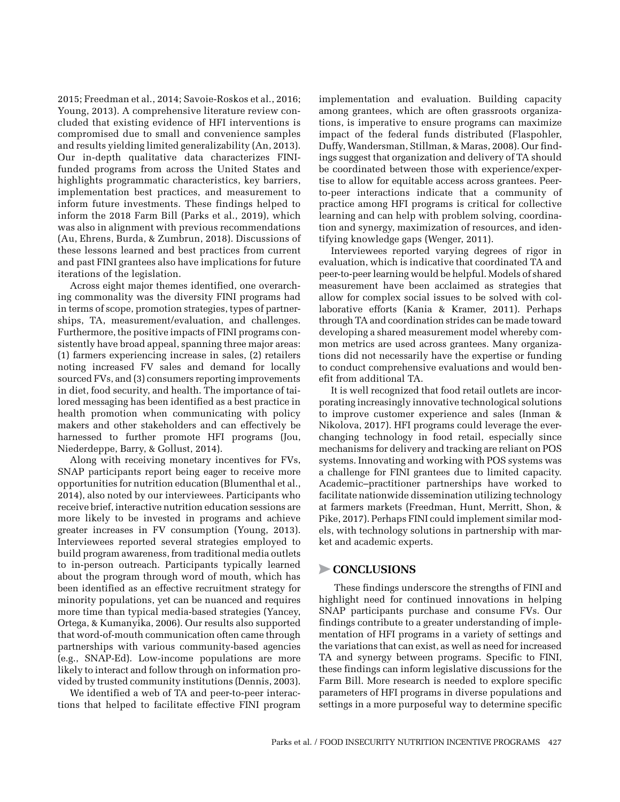2015; Freedman et al., 2014; Savoie-Roskos et al., 2016; Young, 2013). A comprehensive literature review concluded that existing evidence of HFI interventions is compromised due to small and convenience samples and results yielding limited generalizability (An, 2013). Our in-depth qualitative data characterizes FINIfunded programs from across the United States and highlights programmatic characteristics, key barriers, implementation best practices, and measurement to inform future investments. These findings helped to inform the 2018 Farm Bill (Parks et al., 2019), which was also in alignment with previous recommendations (Au, Ehrens, Burda, & Zumbrun, 2018). Discussions of these lessons learned and best practices from current and past FINI grantees also have implications for future iterations of the legislation.

Across eight major themes identified, one overarching commonality was the diversity FINI programs had in terms of scope, promotion strategies, types of partnerships, TA, measurement/evaluation, and challenges. Furthermore, the positive impacts of FINI programs consistently have broad appeal, spanning three major areas: (1) farmers experiencing increase in sales, (2) retailers noting increased FV sales and demand for locally sourced FVs, and (3) consumers reporting improvements in diet, food security, and health. The importance of tailored messaging has been identified as a best practice in health promotion when communicating with policy makers and other stakeholders and can effectively be harnessed to further promote HFI programs (Jou, Niederdeppe, Barry, & Gollust, 2014).

Along with receiving monetary incentives for FVs, SNAP participants report being eager to receive more opportunities for nutrition education (Blumenthal et al., 2014), also noted by our interviewees. Participants who receive brief, interactive nutrition education sessions are more likely to be invested in programs and achieve greater increases in FV consumption (Young, 2013). Interviewees reported several strategies employed to build program awareness, from traditional media outlets to in-person outreach. Participants typically learned about the program through word of mouth, which has been identified as an effective recruitment strategy for minority populations, yet can be nuanced and requires more time than typical media-based strategies (Yancey, Ortega, & Kumanyika, 2006). Our results also supported that word-of-mouth communication often came through partnerships with various community-based agencies (e.g., SNAP-Ed). Low-income populations are more likely to interact and follow through on information provided by trusted community institutions (Dennis, 2003).

We identified a web of TA and peer-to-peer interactions that helped to facilitate effective FINI program implementation and evaluation. Building capacity among grantees, which are often grassroots organizations, is imperative to ensure programs can maximize impact of the federal funds distributed (Flaspohler, Duffy, Wandersman, Stillman, & Maras, 2008). Our findings suggest that organization and delivery of TA should be coordinated between those with experience/expertise to allow for equitable access across grantees. Peerto-peer interactions indicate that a community of practice among HFI programs is critical for collective learning and can help with problem solving, coordination and synergy, maximization of resources, and identifying knowledge gaps (Wenger, 2011).

Interviewees reported varying degrees of rigor in evaluation, which is indicative that coordinated TA and peer-to-peer learning would be helpful. Models of shared measurement have been acclaimed as strategies that allow for complex social issues to be solved with collaborative efforts (Kania & Kramer, 2011). Perhaps through TA and coordination strides can be made toward developing a shared measurement model whereby common metrics are used across grantees. Many organizations did not necessarily have the expertise or funding to conduct comprehensive evaluations and would benefit from additional TA.

It is well recognized that food retail outlets are incorporating increasingly innovative technological solutions to improve customer experience and sales (Inman & Nikolova, 2017). HFI programs could leverage the everchanging technology in food retail, especially since mechanisms for delivery and tracking are reliant on POS systems. Innovating and working with POS systems was a challenge for FINI grantees due to limited capacity. Academic–practitioner partnerships have worked to facilitate nationwide dissemination utilizing technology at farmers markets (Freedman, Hunt, Merritt, Shon, & Pike, 2017). Perhaps FINI could implement similar models, with technology solutions in partnership with market and academic experts.

# >**Conclusions**

These findings underscore the strengths of FINI and highlight need for continued innovations in helping SNAP participants purchase and consume FVs. Our findings contribute to a greater understanding of implementation of HFI programs in a variety of settings and the variations that can exist, as well as need for increased TA and synergy between programs. Specific to FINI, these findings can inform legislative discussions for the Farm Bill. More research is needed to explore specific parameters of HFI programs in diverse populations and settings in a more purposeful way to determine specific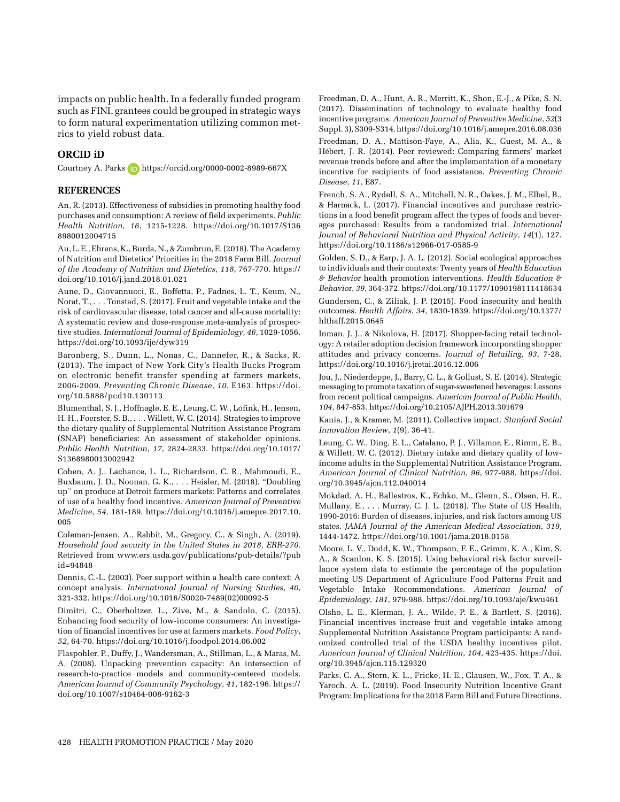impacts on public health. In a federally funded program such as FINI, grantees could be grouped in strategic ways to form natural experimentation utilizing common metrics to yield robust data.

#### **ORCID iD**

Courtney A. Parks **b** https://orcid.org/0000-0002-8989-667X

## **References**

An, R. (2013). Effectiveness of subsidies in promoting healthy food purchases and consumption: A review of field experiments. *Public Health Nutrition*, *16*, 1215-1228. [https://doi.org/10.1017/S136](https://doi.org/10.1017/S1368980012004715) [8980012004715](https://doi.org/10.1017/S1368980012004715)

Au, L. E., Ehrens, K., Burda, N., & Zumbrun, E. (2018). The Academy of Nutrition and Dietetics' Priorities in the 2018 Farm Bill. *Journal of the Academy of Nutrition and Dietetics*, *118*, 767-770. [https://](https://doi.org/10.1016/j.jand.2018.01.021) [doi.org/10.1016/j.jand.2018.01.021](https://doi.org/10.1016/j.jand.2018.01.021)

Aune, D., Giovannucci, E., Boffetta, P., Fadnes, L. T., Keum, N., Norat, T., . . . Tonstad, S. (2017). Fruit and vegetable intake and the risk of cardiovascular disease, total cancer and all-cause mortality: A systematic review and dose-response meta-analysis of prospective studies. *International Journal of Epidemiology*, *46*, 1029-1056. <https://doi.org/10.1093/ije/dyw319>

Baronberg, S., Dunn, L., Nonas, C., Dannefer, R., & Sacks, R. (2013). The impact of New York City's Health Bucks Program on electronic benefit transfer spending at farmers markets, 2006-2009. *Preventing Chronic Disease*, *10*, E163. [https://doi.](https://doi.org/10.5888/pcd10.130113) [org/10.5888/pcd10.130113](https://doi.org/10.5888/pcd10.130113)

Blumenthal, S. J., Hoffnagle, E. E., Leung, C. W., Lofink, H., Jensen, H. H., Foerster, S. B., . . . Willett, W. C. (2014). Strategies to improve the dietary quality of Supplemental Nutrition Assistance Program (SNAP) beneficiaries: An assessment of stakeholder opinions. *Public Health Nutrition*, *17*, 2824-2833. [https://doi.org/10.1017/](https://doi.org/10.1017/S1368980013002942) [S1368980013002942](https://doi.org/10.1017/S1368980013002942)

Cohen, A. J., Lachance, L. L., Richardson, C. R., Mahmoudi, E., Buxbaum, J. D., Noonan, G. K., . . . Heisler, M. (2018). "Doubling up" on produce at Detroit farmers markets: Patterns and correlates of use of a healthy food incentive. *American Journal of Preventive Medicine*, *54*, 181-189. [https://doi.org/10.1016/j.amepre.2017.10.](https://doi.org/10.1016/j.amepre.2017.10.005) [005](https://doi.org/10.1016/j.amepre.2017.10.005)

Coleman-Jensen, A., Rabbit, M., Gregory, C., & Singh, A. (2019). *Household food security in the United States in 2018, ERR-270*. Retrieved from [www.ers.usda.gov/publications/pub-details/?pub](www.ers.usda.gov/publications/pub-details/?pubid=94848) [id=94848](www.ers.usda.gov/publications/pub-details/?pubid=94848)

Dennis, C.-L. (2003). Peer support within a health care context: A concept analysis. *International Journal of Nursing Studies*, *40*, 321-332. [https://doi.org/10.1016/S0020-7489\(02\)00092-5](https://doi.org/10.1016/S0020-7489(02)00092-5)

Dimitri, C., Oberholtzer, L., Zive, M., & Sandolo, C. (2015). Enhancing food security of low-income consumers: An investigation of financial incentives for use at farmers markets. *Food Policy*, *52*, 64-70.<https://doi.org/10.1016/j.foodpol.2014.06.002>

Flaspohler, P., Duffy, J., Wandersman, A., Stillman, L., & Maras, M. A. (2008). Unpacking prevention capacity: An intersection of research-to-practice models and community-centered models. *American Journal of Community Psychology*, *41*, 182-196. [https://](https://doi.org/10.1007/s10464-008-9162-3) [doi.org/10.1007/s10464-008-9162-3](https://doi.org/10.1007/s10464-008-9162-3)

Freedman, D. A., Hunt, A. R., Merritt, K., Shon, E.-J., & Pike, S. N. (2017). Dissemination of technology to evaluate healthy food incentive programs. *American Journal of Preventive Medicine*, *52*(3 Suppl. 3), S309-S314.<https://doi.org/10.1016/j.amepre.2016.08.036>

Freedman, D. A., Mattison-Faye, A., Alia, K., Guest, M. A., & Hébert, J. R. (2014). Peer reviewed: Comparing farmers' market revenue trends before and after the implementation of a monetary incentive for recipients of food assistance. *Preventing Chronic Disease*, *11*, E87.

French, S. A., Rydell, S. A., Mitchell, N. R., Oakes, J. M., Elbel, B., & Harnack, L. (2017). Financial incentives and purchase restrictions in a food benefit program affect the types of foods and beverages purchased: Results from a randomized trial. *International Journal of Behavioral Nutrition and Physical Activity*, *14*(1), 127. <https://doi.org/10.1186/s12966-017-0585-9>

Golden, S. D., & Earp, J. A. L. (2012). Social ecological approaches to individuals and their contexts: Twenty years of *Health Education & Behavior* health promotion interventions. *Health Education & Behavior*, *39*, 364-372.<https://doi.org/10.1177/1090198111418634>

Gundersen, C., & Ziliak, J. P. (2015). Food insecurity and health outcomes. *Health Affairs*, *34*, 1830-1839. [https://doi.org/10.1377/](https://doi.org/10.1377/hlthaff.2015.0645) [hlthaff.2015.0645](https://doi.org/10.1377/hlthaff.2015.0645)

Inman, J. J., & Nikolova, H. (2017). Shopper-facing retail technology: A retailer adoption decision framework incorporating shopper attitudes and privacy concerns. *Journal of Retailing*, *93*, 7-28. <https://doi.org/10.1016/j.jretai.2016.12.006>

Jou, J., Niederdeppe, J., Barry, C. L., & Gollust, S. E. (2014). Strategic messaging to promote taxation of sugar-sweetened beverages: Lessons from recent political campaigns. *American Journal of Public Health*, *104*, 847-853.<https://doi.org/10.2105/AJPH.2013.301679>

Kania, J., & Kramer, M. (2011). Collective impact. *Stanford Social Innovation Review*, *1*(9), 36-41.

Leung, C. W., Ding, E. L., Catalano, P. J., Villamor, E., Rimm, E. B., & Willett, W. C. (2012). Dietary intake and dietary quality of lowincome adults in the Supplemental Nutrition Assistance Program. *American Journal of Clinical Nutrition*, *96*, 977-988. [https://doi.](https://doi.org/10.3945/ajcn.112.040014) [org/10.3945/ajcn.112.040014](https://doi.org/10.3945/ajcn.112.040014)

Mokdad, A. H., Ballestros, K., Echko, M., Glenn, S., Olsen, H. E., Mullany, E., . . . Murray, C. J. L. (2018). The State of US Health, 1990-2016: Burden of diseases, injuries, and risk factors among US states. *JAMA Journal of the American Medical Association*, *319*, 1444-1472. <https://doi.org/10.1001/jama.2018.0158>

Moore, L. V., Dodd, K. W., Thompson, F. E., Grimm, K. A., Kim, S. A., & Scanlon, K. S. (2015). Using behavioral risk factor surveillance system data to estimate the percentage of the population meeting US Department of Agriculture Food Patterns Fruit and Vegetable Intake Recommendations. *American Journal of Epidemiology*, *181*, 979-988.<https://doi.org/10.1093/aje/kwu461>

Olsho, L. E., Klerman, J. A., Wilde, P. E., & Bartlett, S. (2016). Financial incentives increase fruit and vegetable intake among Supplemental Nutrition Assistance Program participants: A randomized controlled trial of the USDA healthy incentives pilot. *American Journal of Clinical Nutrition*, *104*, 423-435. [https://doi.](https://doi.org/10.3945/ajcn.115.129320) [org/10.3945/ajcn.115.129320](https://doi.org/10.3945/ajcn.115.129320)

Parks, C. A., Stern, K. L., Fricke, H. E., Clausen, W., Fox, T. A., & Yaroch, A. L. (2019). Food Insecurity Nutrition Incentive Grant Program: Implications for the 2018 Farm Bill and Future Directions.